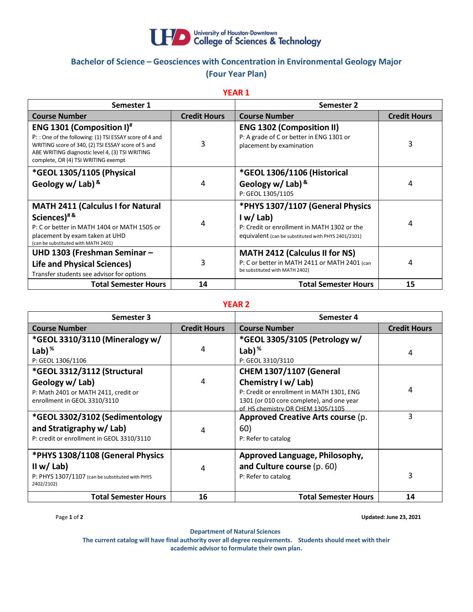

# **Bachelor of Science – Geosciences with Concentration in Environmental Geology Major (Four Year Plan)**

**YEAR 1**

| Semester 1                                                                                                                                                                                                                                  |                     | Semester 2                                                                                                                                        |                     |
|---------------------------------------------------------------------------------------------------------------------------------------------------------------------------------------------------------------------------------------------|---------------------|---------------------------------------------------------------------------------------------------------------------------------------------------|---------------------|
| <b>Course Number</b>                                                                                                                                                                                                                        | <b>Credit Hours</b> | <b>Course Number</b>                                                                                                                              | <b>Credit Hours</b> |
| <b>ENG 1301 (Composition I)</b> #<br>P:: One of the following: (1) TSI ESSAY score of 4 and<br>WRITING score of 340, (2) TSI ESSAY score of 5 and<br>ABE WRITING diagnostic level 4, (3) TSI WRITING<br>complete, OR (4) TSI WRITING exempt | 3                   | <b>ENG 1302 (Composition II)</b><br>P: A grade of C or better in ENG 1301 or<br>placement by examination                                          | 3                   |
| *GEOL 1305/1105 (Physical<br>Geology w/ Lab) &                                                                                                                                                                                              | 4                   | *GEOL 1306/1106 (Historical<br>Geology w/ Lab) $8$<br>P: GEOL 1305/1105                                                                           | 4                   |
| <b>MATH 2411 (Calculus I for Natural</b><br>Sciences) <sup>#&amp;</sup><br>P: C or better in MATH 1404 or MATH 1505 or<br>placement by exam taken at UHD<br>(can be substituted with MATH 2401)                                             | 4                   | *PHYS 1307/1107 (General Physics<br>I w/Lab<br>P: Credit or enrollment in MATH 1302 or the<br>equivalent (can be substituted with PHYS 2401/2101) | 4                   |
| UHD 1303 (Freshman Seminar -<br><b>Life and Physical Sciences)</b><br>Transfer students see advisor for options                                                                                                                             | 3                   | <b>MATH 2412 (Calculus II for NS)</b><br>P: C or better in MATH 2411 or MATH 2401 (can<br>be substituted with MATH 2402)                          | 4                   |
| <b>Total Semester Hours</b>                                                                                                                                                                                                                 | 14                  | <b>Total Semester Hours</b>                                                                                                                       | 15                  |

### **YEAR 2**

| Semester 3                                                                                                                                                                                         |                     | Semester 4                                                                                                                                                                                                            |                     |
|----------------------------------------------------------------------------------------------------------------------------------------------------------------------------------------------------|---------------------|-----------------------------------------------------------------------------------------------------------------------------------------------------------------------------------------------------------------------|---------------------|
| <b>Course Number</b>                                                                                                                                                                               | <b>Credit Hours</b> | <b>Course Number</b>                                                                                                                                                                                                  | <b>Credit Hours</b> |
| *GEOL 3310/3110 (Mineralogy w/                                                                                                                                                                     |                     | *GEOL 3305/3105 (Petrology w/                                                                                                                                                                                         |                     |
| Lab) $%$                                                                                                                                                                                           | 4                   | Lab) $%$                                                                                                                                                                                                              | 4                   |
| P: GEOL 1306/1106                                                                                                                                                                                  |                     | P: GEOL 3310/3110                                                                                                                                                                                                     |                     |
| *GEOL 3312/3112 (Structural                                                                                                                                                                        |                     | <b>CHEM 1307/1107 (General</b>                                                                                                                                                                                        |                     |
| Geology w/ Lab)<br>P: Math 2401 or MATH 2411, credit or<br>enrollment in GEOL 3310/3110<br>*GEOL 3302/3102 (Sedimentology<br>and Stratigraphy w/ Lab)<br>P: credit or enrollment in GEOL 3310/3110 | 4<br>4              | Chemistry I w/ Lab)<br>P: Credit or enrollment in MATH 1301, ENG<br>1301 (or 010 core complete), and one year<br>of HS chemistry OR CHEM 1305/1105<br>Approved Creative Arts course (p.<br>60)<br>P: Refer to catalog | 4<br>3              |
| *PHYS 1308/1108 (General Physics<br>II w/ Lab)<br>P: PHYS 1307/1107 (can be substituted with PHYS<br>2402/2102)                                                                                    | 4                   | Approved Language, Philosophy,<br>and Culture course (p. 60)<br>P: Refer to catalog                                                                                                                                   | 3                   |
| <b>Total Semester Hours</b>                                                                                                                                                                        | 16                  | <b>Total Semester Hours</b>                                                                                                                                                                                           | 14                  |

Page **1** of **2 Updated: June 23, 2021**

**Department of Natural Sciences**

**The current catalog will have final authority over all degree requirements. Students should meet with their academic advisor to formulate their own plan.**